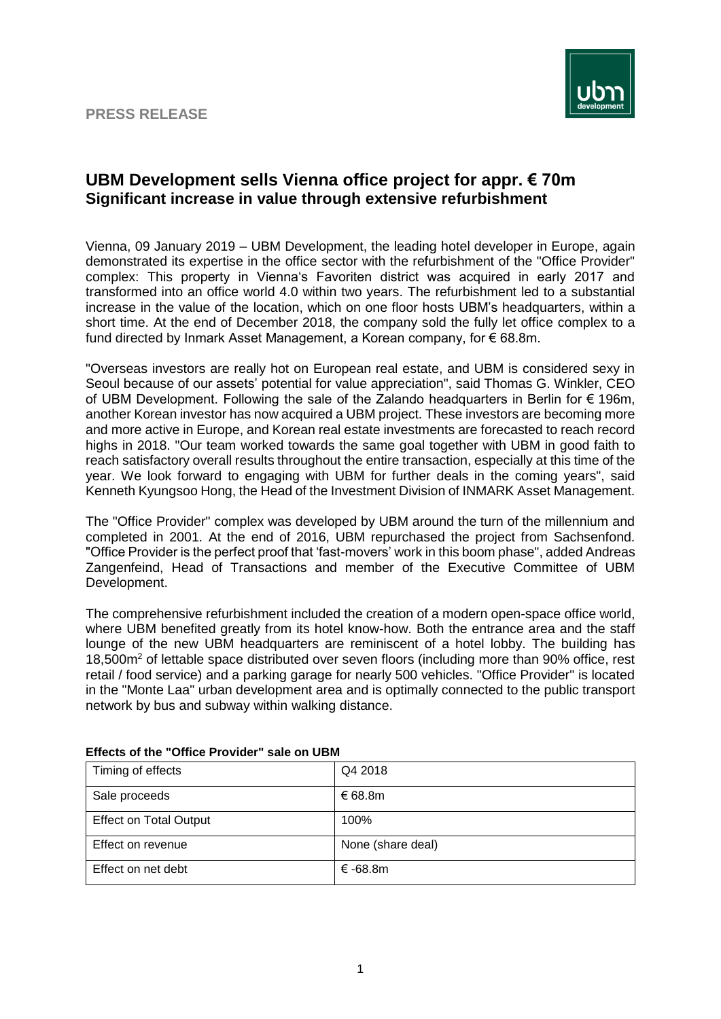## **PRESS RELEASE**



## **UBM Development sells Vienna office project for appr. € 70m Significant increase in value through extensive refurbishment**

Vienna, 09 January 2019 – UBM Development, the leading hotel developer in Europe, again demonstrated its expertise in the office sector with the refurbishment of the "Office Provider" complex: This property in Vienna's Favoriten district was acquired in early 2017 and transformed into an office world 4.0 within two years. The refurbishment led to a substantial increase in the value of the location, which on one floor hosts UBM's headquarters, within a short time. At the end of December 2018, the company sold the fully let office complex to a fund directed by Inmark Asset Management, a Korean company, for € 68.8m.

"Overseas investors are really hot on European real estate, and UBM is considered sexy in Seoul because of our assets' potential for value appreciation", said Thomas G. Winkler, CEO of UBM Development. Following the sale of the Zalando headquarters in Berlin for € 196m, another Korean investor has now acquired a UBM project. These investors are becoming more and more active in Europe, and Korean real estate investments are forecasted to reach record highs in 2018. "Our team worked towards the same goal together with UBM in good faith to reach satisfactory overall results throughout the entire transaction, especially at this time of the year. We look forward to engaging with UBM for further deals in the coming years", said Kenneth Kyungsoo Hong, the Head of the Investment Division of INMARK Asset Management.

The "Office Provider" complex was developed by UBM around the turn of the millennium and completed in 2001. At the end of 2016, UBM repurchased the project from Sachsenfond. "Office Provider is the perfect proof that 'fast-movers' work in this boom phase", added Andreas Zangenfeind, Head of Transactions and member of the Executive Committee of UBM Development.

The comprehensive refurbishment included the creation of a modern open-space office world, where UBM benefited greatly from its hotel know-how. Both the entrance area and the staff lounge of the new UBM headquarters are reminiscent of a hotel lobby. The building has 18,500m<sup>2</sup> of lettable space distributed over seven floors (including more than 90% office, rest retail / food service) and a parking garage for nearly 500 vehicles. "Office Provider" is located in the "Monte Laa" urban development area and is optimally connected to the public transport network by bus and subway within walking distance.

| Timing of effects             | Q4 2018           |
|-------------------------------|-------------------|
| Sale proceeds                 | € 68.8m           |
| <b>Effect on Total Output</b> | 100%              |
| Effect on revenue             | None (share deal) |
| Effect on net debt            | $\epsilon$ -68.8m |

## **Effects of the "Office Provider" sale on UBM**